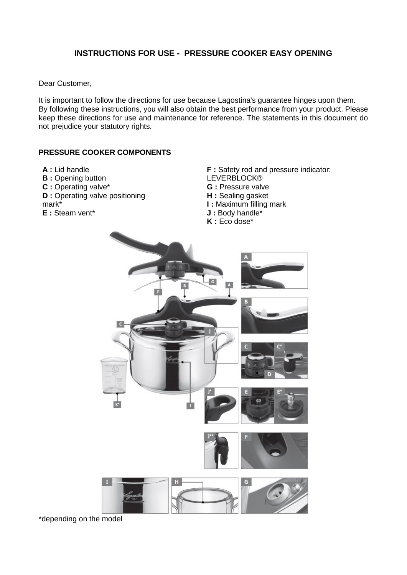# **INSTRUCTIONS FOR USE - PRESSURE COOKER EASY OPENING**

Dear Customer,

It is important to follow the directions for use because Lagostina's guarantee hinges upon them. By following these instructions, you will also obtain the best performance from your product. Please keep these directions for use and maintenance for reference. The statements in this document do not prejudice your statutory rights.

#### **PRESSURE COOKER COMPONENTS**

- **A :** Lid handle
- **B** : Opening button
- **C :** Operating valve\*
- **D** : Operating valve positioning
- mark\*
- **E :** Steam vent\*

**F** : Safety rod and pressure indicator: LEVERBLOCK® **G :** Pressure valve **H :** Sealing gasket **I :** Maximum filling mark **J :** Body handle\* **K :** Eco dose\*



\*depending on the model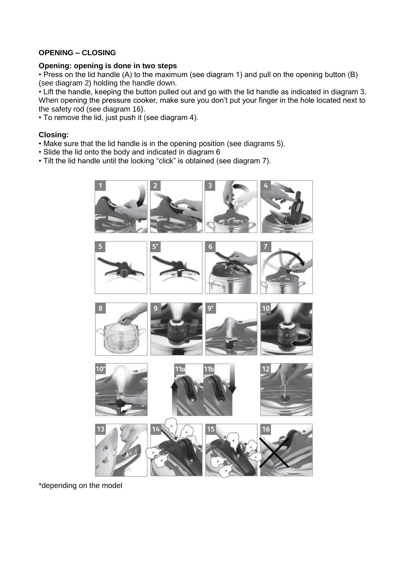# **OPENING – CLOSING**

#### **Opening: opening is done in two steps**

• Press on the lid handle (A) to the maximum (see diagram 1) and pull on the opening button (B) (see diagram 2) holding the handle down.

• Lift the handle, keeping the button pulled out and go with the lid handle as indicated in diagram 3. When opening the pressure cooker, make sure you don't put your finger in the hole located next to the safety rod (see diagram 16).

• To remove the lid, just push it (see diagram 4).

#### **Closing:**

- Make sure that the lid handle is in the opening position (see diagrams 5).
- Slide the lid onto the body and indicated in diagram 6
- Tilt the lid handle until the locking "click" is obtained (see diagram 7).



\*depending on the model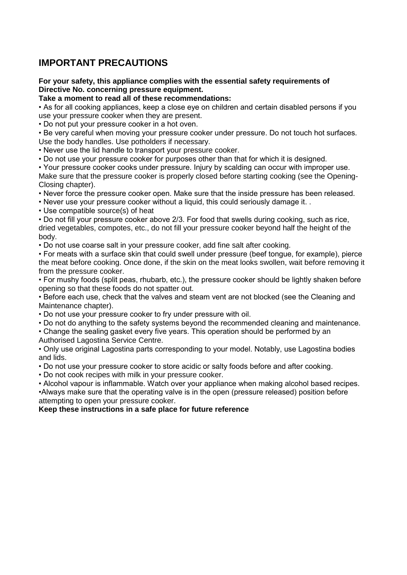# **IMPORTANT PRECAUTIONS**

#### **For your safety, this appliance complies with the essential safety requirements of Directive No. concerning pressure equipment.**

#### **Take a moment to read all of these recommendations:**

• As for all cooking appliances, keep a close eye on children and certain disabled persons if you use your pressure cooker when they are present.

• Do not put your pressure cooker in a hot oven.

• Be very careful when moving your pressure cooker under pressure. Do not touch hot surfaces. Use the body handles. Use potholders if necessary.

• Never use the lid handle to transport your pressure cooker.

• Do not use your pressure cooker for purposes other than that for which it is designed.

• Your pressure cooker cooks under pressure. Injury by scalding can occur with improper use. Make sure that the pressure cooker is properly closed before starting cooking (see the Opening-Closing chapter).

• Never force the pressure cooker open. Make sure that the inside pressure has been released.

• Never use your pressure cooker without a liquid, this could seriously damage it. .

• Use compatible source(s) of heat

• Do not fill your pressure cooker above 2/3. For food that swells during cooking, such as rice, dried vegetables, compotes, etc., do not fill your pressure cooker beyond half the height of the body.

• Do not use coarse salt in your pressure cooker, add fine salt after cooking.

• For meats with a surface skin that could swell under pressure (beef tongue, for example), pierce the meat before cooking. Once done, if the skin on the meat looks swollen, wait before removing it from the pressure cooker.

• For mushy foods (split peas, rhubarb, etc.), the pressure cooker should be lightly shaken before opening so that these foods do not spatter out.

• Before each use, check that the valves and steam vent are not blocked (see the Cleaning and Maintenance chapter).

• Do not use your pressure cooker to fry under pressure with oil.

• Do not do anything to the safety systems beyond the recommended cleaning and maintenance.

• Change the sealing gasket every five years. This operation should be performed by an Authorised Lagostina Service Centre.

• Only use original Lagostina parts corresponding to your model. Notably, use Lagostina bodies and lids.

• Do not use your pressure cooker to store acidic or salty foods before and after cooking.

• Do not cook recipes with milk in your pressure cooker.

• Alcohol vapour is inflammable. Watch over your appliance when making alcohol based recipes. •Always make sure that the operating valve is in the open (pressure released) position before attempting to open your pressure cooker.

**Keep these instructions in a safe place for future reference**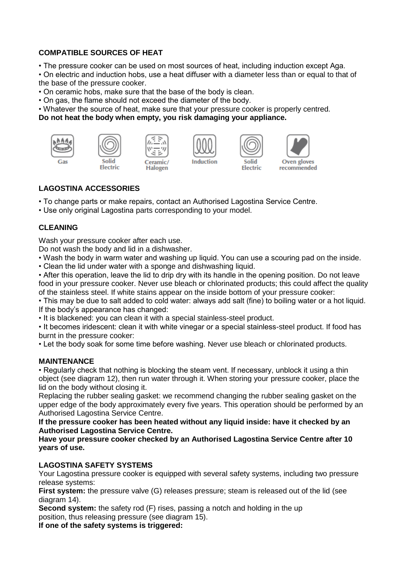# **COMPATIBLE SOURCES OF HEAT**

• The pressure cooker can be used on most sources of heat, including induction except Aga.

• On electric and induction hobs, use a heat diffuser with a diameter less than or equal to that of the base of the pressure cooker.

• On ceramic hobs, make sure that the base of the body is clean.

• On gas, the flame should not exceed the diameter of the body.

• Whatever the source of heat, make sure that your pressure cooker is properly centred.

#### **Do not heat the body when empty, you risk damaging your appliance.**













# **LAGOSTINA ACCESSORIES**

- To change parts or make repairs, contact an Authorised Lagostina Service Centre.
- Use only original Lagostina parts corresponding to your model.

# **CLEANING**

Wash your pressure cooker after each use.

Do not wash the body and lid in a dishwasher.

• Wash the body in warm water and washing up liquid. You can use a scouring pad on the inside.

• Clean the lid under water with a sponge and dishwashing liquid.

• After this operation, leave the lid to drip dry with its handle in the opening position. Do not leave food in your pressure cooker. Never use bleach or chlorinated products; this could affect the quality of the stainless steel. If white stains appear on the inside bottom of your pressure cooker:

• This may be due to salt added to cold water: always add salt (fine) to boiling water or a hot liquid. If the body's appearance has changed:

• It is blackened: you can clean it with a special stainless-steel product.

• It becomes iridescent: clean it with white vinegar or a special stainless-steel product. If food has burnt in the pressure cooker:

• Let the body soak for some time before washing. Never use bleach or chlorinated products.

# **MAINTENANCE**

• Regularly check that nothing is blocking the steam vent. If necessary, unblock it using a thin object (see diagram 12), then run water through it. When storing your pressure cooker, place the lid on the body without closing it.

Replacing the rubber sealing gasket: we recommend changing the rubber sealing gasket on the upper edge of the body approximately every five years. This operation should be performed by an Authorised Lagostina Service Centre.

**If the pressure cooker has been heated without any liquid inside: have it checked by an Authorised Lagostina Service Centre.** 

**Have your pressure cooker checked by an Authorised Lagostina Service Centre after 10 years of use.**

# **LAGOSTINA SAFETY SYSTEMS**

Your Lagostina pressure cooker is equipped with several safety systems, including two pressure release systems:

**First system:** the pressure valve (G) releases pressure; steam is released out of the lid (see diagram 14).

**Second system:** the safety rod (F) rises, passing a notch and holding in the up position, thus releasing pressure (see diagram 15).

**If one of the safety systems is triggered:**